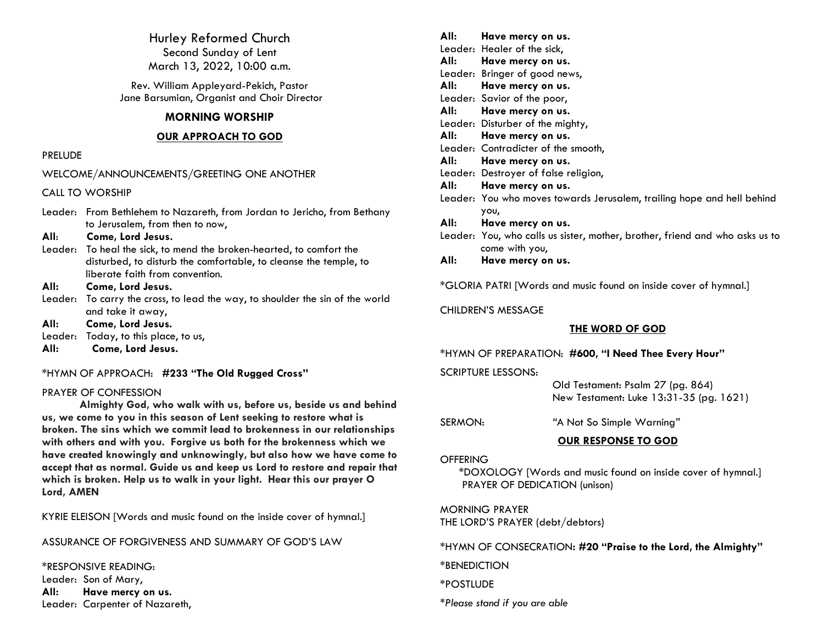Hurley Reformed Church Second Sunday of Lent March 13, 2022, 10:00 a.m.

Rev. William Appleyard-Pekich, Pastor Jane Barsumian, Organist and Choir Director

## **MORNING WORSHIP**

### **OUR APPROACH TO GOD**

#### PRELUDE

WELCOME/ANNOUNCEMENTS/GREETING ONE ANOTHER

## CALL TO WORSHIP

Leader: From Bethlehem to Nazareth, from Jordan to Jericho, from Bethany to Jerusalem, from then to now,

# **All**: **Come, Lord Jesus.**

Leader: To heal the sick, to mend the broken-hearted, to comfort the disturbed, to disturb the comfortable, to cleanse the temple, to liberate faith from convention.

### **All: Come, Lord Jesus.**

- Leader: To carry the cross, to lead the way, to shoulder the sin of the world and take it away,
- **All: Come, Lord Jesus.**
- Leader: Today, to this place, to us,
- **All: Come, Lord Jesus.**

\*HYMN OF APPROACH: **#233 "The Old Rugged Cross"**

#### PRAYER OF CONFESSION

**Almighty God, who walk with us, before us, beside us and behind us, we come to you in this season of Lent seeking to restore what is broken. The sins which we commit lead to brokenness in our relationships with others and with you. Forgive us both for the brokenness which we have created knowingly and unknowingly, but also how we have come to accept that as normal. Guide us and keep us Lord to restore and repair that which is broken. Help us to walk in your light. Hear this our prayer O Lord, AMEN**

KYRIE ELEISON [Words and music found on the inside cover of hymnal.]

ASSURANCE OF FORGIVENESS AND SUMMARY OF GOD'S LAW

\*RESPONSIVE READING: Leader: Son of Mary, **All: Have mercy on us.** Leader: Carpenter of Nazareth,

| All: L | Have mercy on us.                                                            |
|--------|------------------------------------------------------------------------------|
|        | Leader: Healer of the sick,                                                  |
|        | All: Have mercy on us.                                                       |
|        | Leader: Bringer of good news,                                                |
|        | All: Have mercy on us.                                                       |
|        | Leader: Savior of the poor,                                                  |
|        | All: Have mercy on us.                                                       |
|        | Leader: Disturber of the mighty,                                             |
|        | All: Have mercy on us.                                                       |
|        | Leader: Contradicter of the smooth,                                          |
| All:   | Have mercy on us.                                                            |
|        | Leader: Destroyer of false religion,                                         |
| All:   | Have mercy on us.                                                            |
|        | Leader: You who moves towards Jerusalem, trailing hope and hell behind       |
|        | you,                                                                         |
| All:   | Have mercy on us.                                                            |
|        | Leader: You, who calls us sister, mother, brother, friend and who asks us to |
|        | come with you,                                                               |
| All: I | Have mercy on us.                                                            |
|        |                                                                              |

\*GLORIA PATRI [Words and music found on inside cover of hymnal.]

## CHILDREN'S MESSAGE

# **THE WORD OF GOD**

\*HYMN OF PREPARATION: **#600, "I Need Thee Every Hour"**

SCRIPTURE LESSONS:

 Old Testament: Psalm 27 (pg. 864) New Testament: Luke 13:31-35 (pg. 1621)

SERMON: *"*A Not So Simple Warning*"*

**OUR RESPONSE TO GOD**

# **OFFERING**

\*DOXOLOGY [Words and music found on inside cover of hymnal.] PRAYER OF DEDICATION (unison)

MORNING PRAYER THE LORD'S PRAYER (debt/debtors)

\*HYMN OF CONSECRATION**: #20 "Praise to the Lord, the Almighty"**

\*BENEDICTION

\*POSTLUDE

*\*Please stand if you are able*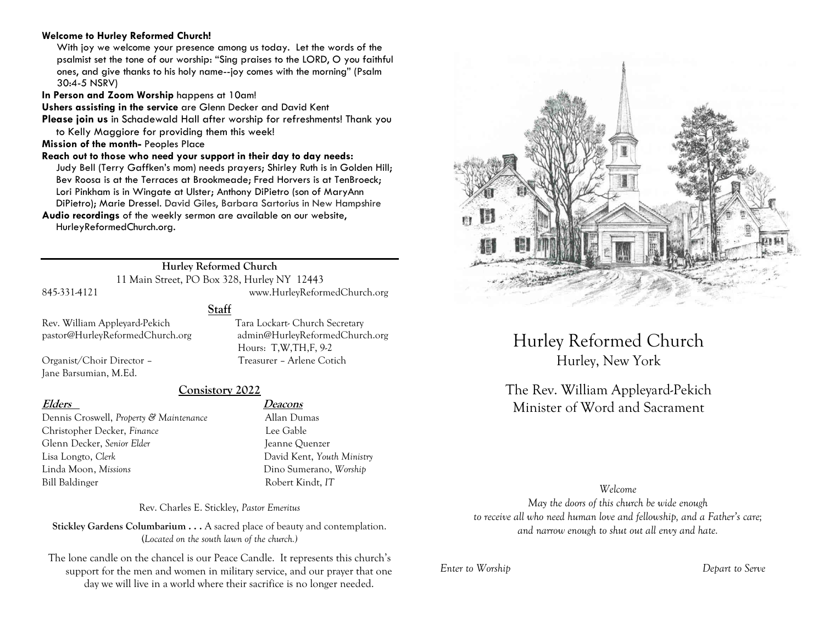## **Welcome to Hurley Reformed Church!**

With joy we welcome your presence among us today. Let the words of the psalmist set the tone of our worship: "Sing praises to the LORD, O you faithful ones, and give thanks to his holy name--joy comes with the morning" (Psalm 30:4-5 NSRV)

**In Person and Zoom Worship** happens at 10am!

**Ushers assisting in the service** are Glenn Decker and David Kent

**Please join us** in Schadewald Hall after worship for refreshments! Thank you to Kelly Maggiore for providing them this week!

**Mission of the month-** Peoples Place

## **Reach out to those who need your support in their day to day needs:**

Judy Bell (Terry Gaffken's mom) needs prayers; Shirley Ruth is in Golden Hill; Bev Roosa is at the Terraces at Brookmeade; Fred Horvers is at TenBroeck; Lori Pinkham is in Wingate at Ulster; Anthony DiPietro (son of MaryAnn DiPietro); Marie Dressel. David Giles, Barbara Sartorius in New Hampshire

**Audio recordings** of the weekly sermon are available on our website, HurleyReformedChurch.org.

# **Hurley Reformed Church**

**Staff**

11 Main Street, PO Box 328, Hurley NY 12443 845-331-4121 www.HurleyReformedChurch.org

Rev. William Appleyard-Pekich Tara Lockart- Church Secretary pastor@HurleyReformedChurch.org admin@HurleyReformedChurch.org

Organist/Choir Director – Treasurer – Arlene Cotich Jane Barsumian, M.Ed.

# **Consistory 2022**

Dennis Croswell, *Property & Maintenance* Allan Dumas Christopher Decker, *Finance* Lee Gable Glenn Decker, *Senior Elder* Jeanne Ouenzer Lisa Longto, *Clerk* David Kent, *Youth Ministry* Linda Moon, *Missions* Dino Sumerano, *Worship* Bill Baldinger Robert Kindt, *IT*

**Elders Deacons**

Hours: T,W,TH,F, 9-2

Rev. Charles E. Stickley, *Pastor Emeritus*

**Stickley Gardens Columbarium . . .** A sacred place of beauty and contemplation. (*Located on the south lawn of the church.)* 

The lone candle on the chancel is our Peace Candle. It represents this church's support for the men and women in military service, and our prayer that one day we will live in a world where their sacrifice is no longer needed.



Hurley Reformed Church Hurley, New York

The Rev. William Appleyard-Pekich Minister of Word and Sacrament

# *Welcome*

*May the doors of this church be wide enough to receive all who need human love and fellowship, and a Father's care; and narrow enough to shut out all envy and hate.*

*Enter to Worship Depart to Serve*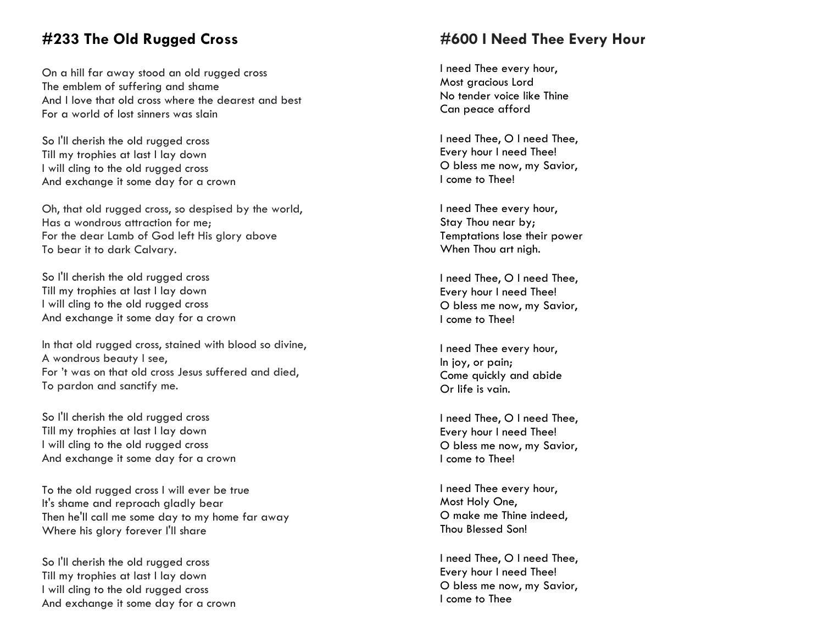# **#233 The Old Rugged Cross**

On a hill far away stood an old rugged cross The emblem of suffering and shame And I love that old cross where the dearest and best For a world of lost sinners was slain

So I'll cherish the old rugged cross Till my trophies at last I lay down I will cling to the old rugged cross And exchange it some day for a crown

Oh, that old rugged cross, so despised by the world, Has a wondrous attraction for me; For the dear Lamb of God left His glory above To bear it to dark Calvary.

So I'll cherish the old rugged cross Till my trophies at last I lay down I will cling to the old rugged cross And exchange it some day for a crown

In that old rugged cross, stained with blood so divine, A wondrous beauty I see, For 't was on that old cross Jesus suffered and died, To pardon and sanctify me.

So I'll cherish the old rugged cross Till my trophies at last I lay down I will cling to the old rugged cross And exchange it some day for a crown

To the old rugged cross I will ever be true It's shame and reproach gladly bear Then he'll call me some day to my home far away Where his glory forever I'll share

So I'll cherish the old rugged cross Till my trophies at last I lay down I will cling to the old rugged cross And exchange it some day for a crown

# **#600 I Need Thee Every Hour**

I need Thee every hour, Most aracious Lord No tender voice like Thine Can peace afford

I need Thee, O I need Thee, Every hour I need Thee! O bless me now, my Savior, I come to Thee!

I need Thee every hour, Stay Thou near by; Temptations lose their power When Thou art nigh.

I need Thee, O I need Thee, Every hour I need Thee! O bless me now, my Savior, I come to Thee!

I need Thee every hour, In joy, or pain; Come quickly and abide Or life is vain.

I need Thee, O I need Thee, Every hour I need Thee! O bless me now, my Savior, I come to Thee!

I need Thee every hour, Most Holy One, O make me Thine indeed, Thou Blessed Son!

I need Thee, O I need Thee, Every hour I need Thee! O bless me now, my Savior, I come to Thee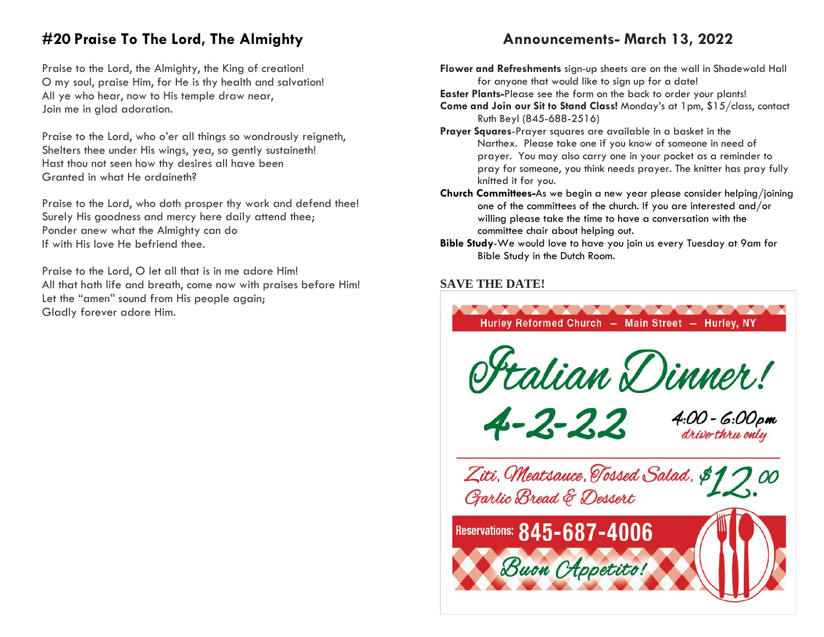# **#20 Praise To The Lord, The Almighty**

Praise to the Lord, the Almighty, the King of creation! O my soul, praise Him, for He is thy health and salvation! All ye who hear, now to His temple draw near, Join me in glad adoration.

Praise to the Lord, who o'er all things so wondrously reigneth, Shelters thee under His wings, yea, so gently sustaineth! Hast thou not seen how thy desires all have been Granted in what He ordaineth?

Praise to the Lord, who doth prosper thy work and defend thee! Surely His goodness and mercy here daily attend thee; Ponder anew what the Almighty can do If with His love He befriend thee.

Praise to the Lord, O let all that is in me adore Him! All that hath life and breath, come now with praises before Him! Let the "amen" sound from His people again; Gladly forever adore Him.

# **Announcements- March 13, 2022**

**Flower and Refreshments** sign-up sheets are on the wall in Shadewald Hall for anyone that would like to sign up for a date! **Easter Plants-**Please see the form on the back to order your plants! **Come and Join our Sit to Stand Class!** Monday's at 1pm, \$15/class, contact Ruth Beyl (845-688-2516) **Prayer Squares**-Prayer squares are available in a basket in the Narthex. Please take one if you know of someone in need of prayer. You may also carry one in your pocket as a reminder to

pray for someone, you think needs prayer. The knitter has pray fully knitted it for you. **Church Committees-**As we begin a new year please consider helping/joining one of the committees of the church. If you are interested and/or

willing please take the time to have a conversation with the committee chair about helping out.

**Bible Study**-We would love to have you join us every Tuesday at 9am for Bible Study in the Dutch Room.

# **SAVE THE DATE!**